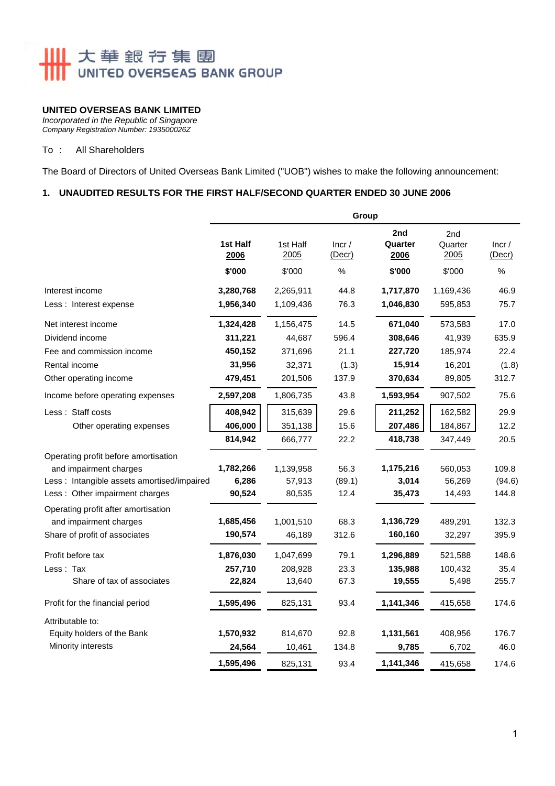# **IIII** 大華銀行集團 UNITED OVERSEAS BANK GROUP

## **UNITED OVERSEAS BANK LIMITED**

*Incorporated in the Republic of Singapore Company Registration Number: 193500026Z* 

#### To : All Shareholders

The Board of Directors of United Overseas Bank Limited ("UOB") wishes to make the following announcement:

### **1. UNAUDITED RESULTS FOR THE FIRST HALF/SECOND QUARTER ENDED 30 JUNE 2006**

|                                             | Group            |                  |                 |                        |                        |                 |  |
|---------------------------------------------|------------------|------------------|-----------------|------------------------|------------------------|-----------------|--|
|                                             | 1st Half<br>2006 | 1st Half<br>2005 | Incr/<br>(Decr) | 2nd<br>Quarter<br>2006 | 2nd<br>Quarter<br>2005 | Incr/<br>(Decr) |  |
|                                             | \$'000           | \$'000           | %               | \$'000                 | \$'000                 | %               |  |
| Interest income                             | 3,280,768        | 2,265,911        | 44.8            | 1,717,870              | 1,169,436              | 46.9            |  |
| Less: Interest expense                      | 1,956,340        | 1,109,436        | 76.3            | 1,046,830              | 595,853                | 75.7            |  |
| Net interest income                         | 1,324,428        | 1,156,475        | 14.5            | 671,040                | 573,583                | 17.0            |  |
| Dividend income                             | 311,221          | 44,687           | 596.4           | 308,646                | 41,939                 | 635.9           |  |
| Fee and commission income                   | 450,152          | 371,696          | 21.1            | 227,720                | 185,974                | 22.4            |  |
| Rental income                               | 31,956           | 32,371           | (1.3)           | 15,914                 | 16,201                 | (1.8)           |  |
| Other operating income                      | 479,451          | 201,506          | 137.9           | 370,634                | 89,805                 | 312.7           |  |
| Income before operating expenses            | 2,597,208        | 1,806,735        | 43.8            | 1,593,954              | 907,502                | 75.6            |  |
| Less: Staff costs                           | 408,942          | 315,639          | 29.6            | 211,252                | 162,582                | 29.9            |  |
| Other operating expenses                    | 406,000          | 351,138          | 15.6            | 207,486                | 184,867                | 12.2            |  |
|                                             | 814,942          | 666,777          | 22.2            | 418,738                | 347,449                | 20.5            |  |
| Operating profit before amortisation        |                  |                  |                 |                        |                        |                 |  |
| and impairment charges                      | 1,782,266        | 1,139,958        | 56.3            | 1,175,216              | 560,053                | 109.8           |  |
| Less : Intangible assets amortised/impaired | 6,286            | 57,913           | (89.1)          | 3,014                  | 56,269                 | (94.6)          |  |
| Less: Other impairment charges              | 90,524           | 80,535           | 12.4            | 35,473                 | 14,493                 | 144.8           |  |
| Operating profit after amortisation         |                  |                  |                 |                        |                        |                 |  |
| and impairment charges                      | 1,685,456        | 1,001,510        | 68.3            | 1,136,729              | 489,291                | 132.3           |  |
| Share of profit of associates               | 190,574          | 46,189           | 312.6           | 160,160                | 32,297                 | 395.9           |  |
| Profit before tax                           | 1,876,030        | 1,047,699        | 79.1            | 1,296,889              | 521,588                | 148.6           |  |
| Less: Tax                                   | 257,710          | 208,928          | 23.3            | 135,988                | 100,432                | 35.4            |  |
| Share of tax of associates                  | 22,824           | 13,640           | 67.3            | 19,555                 | 5,498                  | 255.7           |  |
| Profit for the financial period             | 1,595,496        | 825,131          | 93.4            | 1,141,346              | 415,658                | 174.6           |  |
| Attributable to:                            |                  |                  |                 |                        |                        |                 |  |
| Equity holders of the Bank                  | 1,570,932        | 814,670          | 92.8            | 1,131,561              | 408,956                | 176.7           |  |
| Minority interests                          | 24,564           | 10,461           | 134.8           | 9,785                  | 6,702                  | 46.0            |  |
|                                             | 1,595,496        | 825,131          | 93.4            | 1,141,346              | 415,658                | 174.6           |  |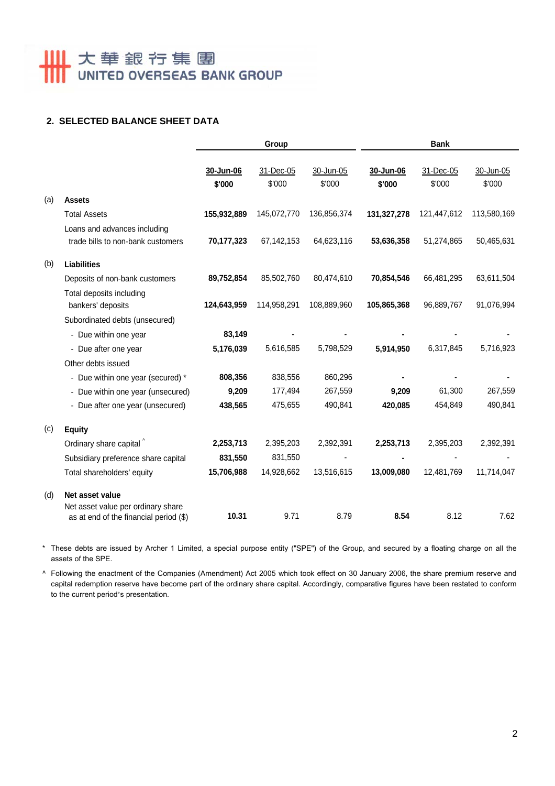# **Ⅲ 大華銀行集團**

## **2. SELECTED BALANCE SHEET DATA**

|     |                                                                                                 | Group               |                     |                     | <b>Bank</b>         |                     |                     |  |
|-----|-------------------------------------------------------------------------------------------------|---------------------|---------------------|---------------------|---------------------|---------------------|---------------------|--|
|     |                                                                                                 | 30-Jun-06<br>\$'000 | 31-Dec-05<br>\$'000 | 30-Jun-05<br>\$'000 | 30-Jun-06<br>\$'000 | 31-Dec-05<br>\$'000 | 30-Jun-05<br>\$'000 |  |
| (a) | <b>Assets</b>                                                                                   |                     |                     |                     |                     |                     |                     |  |
|     | <b>Total Assets</b>                                                                             | 155,932,889         | 145,072,770         | 136,856,374         | 131,327,278         | 121,447,612         | 113,580,169         |  |
|     | Loans and advances including<br>trade bills to non-bank customers                               | 70,177,323          | 67, 142, 153        | 64,623,116          | 53,636,358          | 51,274,865          | 50,465,631          |  |
| (b) | <b>Liabilities</b>                                                                              |                     |                     |                     |                     |                     |                     |  |
|     | Deposits of non-bank customers                                                                  | 89,752,854          | 85,502,760          | 80,474,610          | 70,854,546          | 66,481,295          | 63,611,504          |  |
|     | Total deposits including<br>bankers' deposits                                                   | 124,643,959         | 114,958,291         | 108,889,960         | 105,865,368         | 96,889,767          | 91,076,994          |  |
|     | Subordinated debts (unsecured)                                                                  |                     |                     |                     |                     |                     |                     |  |
|     | - Due within one year                                                                           | 83,149              |                     |                     |                     |                     |                     |  |
|     | - Due after one year                                                                            | 5,176,039           | 5,616,585           | 5,798,529           | 5,914,950           | 6,317,845           | 5,716,923           |  |
|     | Other debts issued                                                                              |                     |                     |                     |                     |                     |                     |  |
|     | - Due within one year (secured) *                                                               | 808,356             | 838,556             | 860,296             |                     |                     |                     |  |
|     | - Due within one year (unsecured)                                                               | 9,209               | 177,494             | 267,559             | 9,209               | 61,300              | 267,559             |  |
|     | - Due after one year (unsecured)                                                                | 438,565             | 475,655             | 490,841             | 420,085             | 454,849             | 490,841             |  |
| (c) | <b>Equity</b>                                                                                   |                     |                     |                     |                     |                     |                     |  |
|     | Ordinary share capital ^                                                                        | 2,253,713           | 2,395,203           | 2,392,391           | 2,253,713           | 2,395,203           | 2,392,391           |  |
|     | Subsidiary preference share capital                                                             | 831,550             | 831,550             |                     |                     |                     |                     |  |
|     | Total shareholders' equity                                                                      | 15,706,988          | 14,928,662          | 13,516,615          | 13,009,080          | 12,481,769          | 11,714,047          |  |
| (d) | Net asset value<br>Net asset value per ordinary share<br>as at end of the financial period (\$) | 10.31               | 9.71                | 8.79                | 8.54                | 8.12                | 7.62                |  |

\* These debts are issued by Archer 1 Limited, a special purpose entity ("SPE") of the Group, and secured by a floating charge on all the assets of the SPE.

^ Following the enactment of the Companies (Amendment) Act 2005 which took effect on 30 January 2006, the share premium reserve and capital redemption reserve have become part of the ordinary share capital. Accordingly, comparative figures have been restated to conform to the current period's presentation.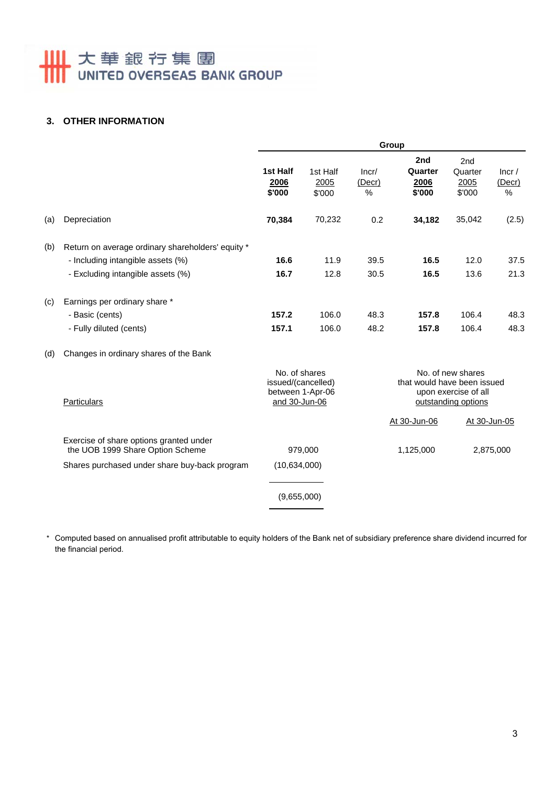# **Ⅲ** 大華銀行集團

## **3. OTHER INFORMATION**

|     |                                                                             | Group                                                |                            |                         |                                                                                                 |                                  |                         |
|-----|-----------------------------------------------------------------------------|------------------------------------------------------|----------------------------|-------------------------|-------------------------------------------------------------------------------------------------|----------------------------------|-------------------------|
|     |                                                                             | 1st Half<br>2006<br>\$'000                           | 1st Half<br>2005<br>\$'000 | Incr/<br>(Decr)<br>$\%$ | 2nd<br>Quarter<br>2006<br>\$'000                                                                | 2nd<br>Quarter<br>2005<br>\$'000 | lncr/<br>(Decr)<br>$\%$ |
| (a) | Depreciation                                                                | 70,384                                               | 70,232                     | 0.2                     | 34,182                                                                                          | 35,042                           | (2.5)                   |
| (b) | Return on average ordinary shareholders' equity *                           |                                                      |                            |                         |                                                                                                 |                                  |                         |
|     | - Including intangible assets (%)                                           | 16.6                                                 | 11.9                       | 39.5                    | 16.5                                                                                            | 12.0                             | 37.5                    |
|     | - Excluding intangible assets (%)                                           | 16.7                                                 | 12.8                       | 30.5                    | 16.5                                                                                            | 13.6                             | 21.3                    |
| (c) | Earnings per ordinary share *                                               |                                                      |                            |                         |                                                                                                 |                                  |                         |
|     | - Basic (cents)                                                             | 157.2                                                | 106.0                      | 48.3                    | 157.8                                                                                           | 106.4                            | 48.3                    |
|     | - Fully diluted (cents)                                                     | 157.1                                                | 106.0                      | 48.2                    | 157.8                                                                                           | 106.4                            | 48.3                    |
| (d) | Changes in ordinary shares of the Bank                                      |                                                      |                            |                         |                                                                                                 |                                  |                         |
|     | <b>Particulars</b>                                                          | No. of shares<br>issued/(cancelled)<br>and 30-Jun-06 | between 1-Apr-06           |                         | No. of new shares<br>that would have been issued<br>upon exercise of all<br>outstanding options |                                  |                         |
|     |                                                                             |                                                      |                            |                         | At 30-Jun-06                                                                                    |                                  | At 30-Jun-05            |
|     | Exercise of share options granted under<br>the UOB 1999 Share Option Scheme | 979,000                                              |                            |                         | 1,125,000<br>2,875,000                                                                          |                                  |                         |
|     | Shares purchased under share buy-back program                               | (10,634,000)                                         |                            |                         |                                                                                                 |                                  |                         |
|     |                                                                             | (9,655,000)                                          |                            |                         |                                                                                                 |                                  |                         |

\* Computed based on annualised profit attributable to equity holders of the Bank net of subsidiary preference share dividend incurred for the financial period.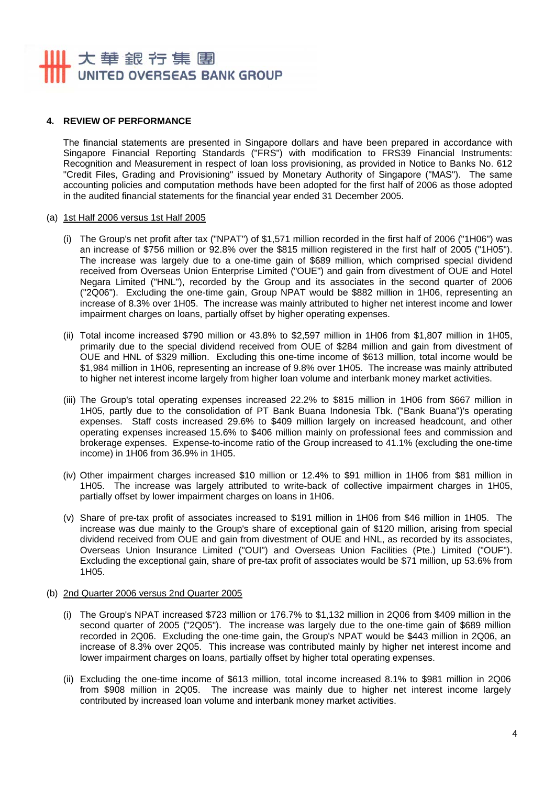# 大華銀行集團 UNITED OVERSEAS BANK GROUP

### **4. REVIEW OF PERFORMANCE**

The financial statements are presented in Singapore dollars and have been prepared in accordance with Singapore Financial Reporting Standards ("FRS") with modification to FRS39 Financial Instruments: Recognition and Measurement in respect of loan loss provisioning, as provided in Notice to Banks No. 612 "Credit Files, Grading and Provisioning" issued by Monetary Authority of Singapore ("MAS"). The same accounting policies and computation methods have been adopted for the first half of 2006 as those adopted in the audited financial statements for the financial year ended 31 December 2005.

#### (a) 1st Half 2006 versus 1st Half 2005

- (i) The Group's net profit after tax ("NPAT") of \$1,571 million recorded in the first half of 2006 ("1H06") was an increase of \$756 million or 92.8% over the \$815 million registered in the first half of 2005 ("1H05"). The increase was largely due to a one-time gain of \$689 million, which comprised special dividend received from Overseas Union Enterprise Limited ("OUE") and gain from divestment of OUE and Hotel Negara Limited ("HNL"), recorded by the Group and its associates in the second quarter of 2006 ("2Q06"). Excluding the one-time gain, Group NPAT would be \$882 million in 1H06, representing an increase of 8.3% over 1H05. The increase was mainly attributed to higher net interest income and lower impairment charges on loans, partially offset by higher operating expenses.
- (ii) Total income increased \$790 million or 43.8% to \$2,597 million in 1H06 from \$1,807 million in 1H05, primarily due to the special dividend received from OUE of \$284 million and gain from divestment of OUE and HNL of \$329 million. Excluding this one-time income of \$613 million, total income would be \$1,984 million in 1H06, representing an increase of 9.8% over 1H05. The increase was mainly attributed to higher net interest income largely from higher loan volume and interbank money market activities.
- (iii) The Group's total operating expenses increased 22.2% to \$815 million in 1H06 from \$667 million in 1H05, partly due to the consolidation of PT Bank Buana Indonesia Tbk. ("Bank Buana")'s operating expenses. Staff costs increased 29.6% to \$409 million largely on increased headcount, and other operating expenses increased 15.6% to \$406 million mainly on professional fees and commission and brokerage expenses. Expense-to-income ratio of the Group increased to 41.1% (excluding the one-time income) in 1H06 from 36.9% in 1H05.
- (iv) Other impairment charges increased \$10 million or 12.4% to \$91 million in 1H06 from \$81 million in 1H05. The increase was largely attributed to write-back of collective impairment charges in 1H05, partially offset by lower impairment charges on loans in 1H06.
- (v) Share of pre-tax profit of associates increased to \$191 million in 1H06 from \$46 million in 1H05. The increase was due mainly to the Group's share of exceptional gain of \$120 million, arising from special dividend received from OUE and gain from divestment of OUE and HNL, as recorded by its associates, Overseas Union Insurance Limited ("OUI") and Overseas Union Facilities (Pte.) Limited ("OUF"). Excluding the exceptional gain, share of pre-tax profit of associates would be \$71 million, up 53.6% from 1H05.
- (b) 2nd Quarter 2006 versus 2nd Quarter 2005
	- (i) The Group's NPAT increased \$723 million or 176.7% to \$1,132 million in 2Q06 from \$409 million in the second quarter of 2005 ("2Q05"). The increase was largely due to the one-time gain of \$689 million recorded in 2Q06. Excluding the one-time gain, the Group's NPAT would be \$443 million in 2Q06, an increase of 8.3% over 2Q05. This increase was contributed mainly by higher net interest income and lower impairment charges on loans, partially offset by higher total operating expenses.
	- (ii) Excluding the one-time income of \$613 million, total income increased 8.1% to \$981 million in 2Q06 from \$908 million in 2Q05. The increase was mainly due to higher net interest income largely contributed by increased loan volume and interbank money market activities.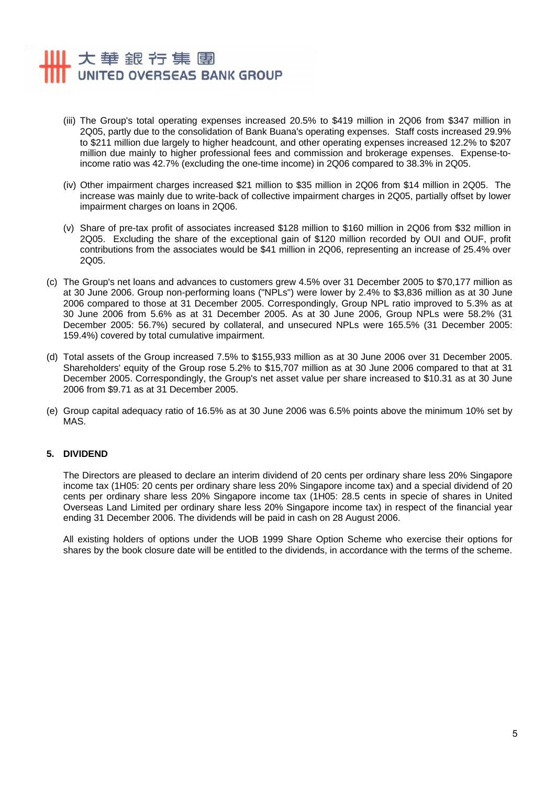# 大華銀行集團 UNITED OVERSEAS BANK GROUP

- (iii) The Group's total operating expenses increased 20.5% to \$419 million in 2Q06 from \$347 million in 2Q05, partly due to the consolidation of Bank Buana's operating expenses. Staff costs increased 29.9% to \$211 million due largely to higher headcount, and other operating expenses increased 12.2% to \$207 million due mainly to higher professional fees and commission and brokerage expenses. Expense-toincome ratio was 42.7% (excluding the one-time income) in 2Q06 compared to 38.3% in 2Q05.
- (iv) Other impairment charges increased \$21 million to \$35 million in 2Q06 from \$14 million in 2Q05. The increase was mainly due to write-back of collective impairment charges in 2Q05, partially offset by lower impairment charges on loans in 2Q06.
- (v) Share of pre-tax profit of associates increased \$128 million to \$160 million in 2Q06 from \$32 million in 2Q05. Excluding the share of the exceptional gain of \$120 million recorded by OUI and OUF, profit contributions from the associates would be \$41 million in 2Q06, representing an increase of 25.4% over 2Q05.
- (c) The Group's net loans and advances to customers grew 4.5% over 31 December 2005 to \$70,177 million as at 30 June 2006. Group non-performing loans ("NPLs") were lower by 2.4% to \$3,836 million as at 30 June 2006 compared to those at 31 December 2005. Correspondingly, Group NPL ratio improved to 5.3% as at 30 June 2006 from 5.6% as at 31 December 2005. As at 30 June 2006, Group NPLs were 58.2% (31 December 2005: 56.7%) secured by collateral, and unsecured NPLs were 165.5% (31 December 2005: 159.4%) covered by total cumulative impairment.
- (d) Total assets of the Group increased 7.5% to \$155,933 million as at 30 June 2006 over 31 December 2005. Shareholders' equity of the Group rose 5.2% to \$15,707 million as at 30 June 2006 compared to that at 31 December 2005. Correspondingly, the Group's net asset value per share increased to \$10.31 as at 30 June 2006 from \$9.71 as at 31 December 2005.
- (e) Group capital adequacy ratio of 16.5% as at 30 June 2006 was 6.5% points above the minimum 10% set by MAS.

### **5. DIVIDEND**

The Directors are pleased to declare an interim dividend of 20 cents per ordinary share less 20% Singapore income tax (1H05: 20 cents per ordinary share less 20% Singapore income tax) and a special dividend of 20 cents per ordinary share less 20% Singapore income tax (1H05: 28.5 cents in specie of shares in United Overseas Land Limited per ordinary share less 20% Singapore income tax) in respect of the financial year ending 31 December 2006. The dividends will be paid in cash on 28 August 2006.

All existing holders of options under the UOB 1999 Share Option Scheme who exercise their options for shares by the book closure date will be entitled to the dividends, in accordance with the terms of the scheme.